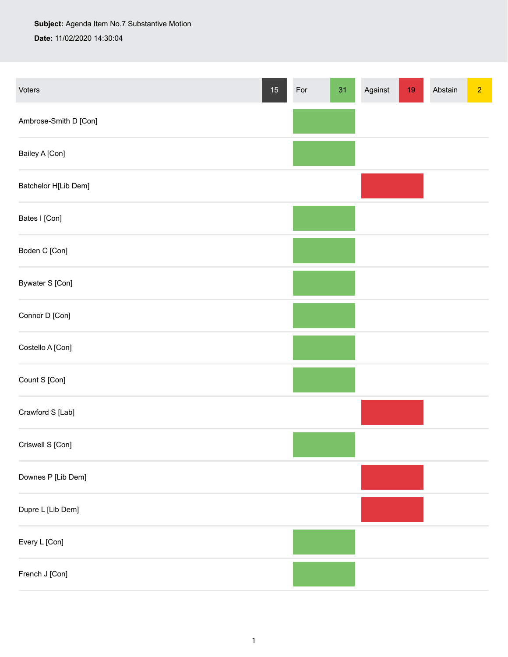## **Subject:** Agenda Item No.7 Substantive Motion

**Date:** 11/02/2020 14:30:04

| Voters                | $15\,$ | For | 31 | Against | 19 | Abstain | $\overline{2}$ |
|-----------------------|--------|-----|----|---------|----|---------|----------------|
| Ambrose-Smith D [Con] |        |     |    |         |    |         |                |
| Bailey A [Con]        |        |     |    |         |    |         |                |
| Batchelor H[Lib Dem]  |        |     |    |         |    |         |                |
| Bates I [Con]         |        |     |    |         |    |         |                |
| Boden C [Con]         |        |     |    |         |    |         |                |
| Bywater S [Con]       |        |     |    |         |    |         |                |
| Connor D [Con]        |        |     |    |         |    |         |                |
| Costello A [Con]      |        |     |    |         |    |         |                |
| Count S [Con]         |        |     |    |         |    |         |                |
| Crawford S [Lab]      |        |     |    |         |    |         |                |
| Criswell S [Con]      |        |     |    |         |    |         |                |
| Downes P [Lib Dem]    |        |     |    |         |    |         |                |
| Dupre L [Lib Dem]     |        |     |    |         |    |         |                |
| Every L [Con]         |        |     |    |         |    |         |                |
| French J [Con]        |        |     |    |         |    |         |                |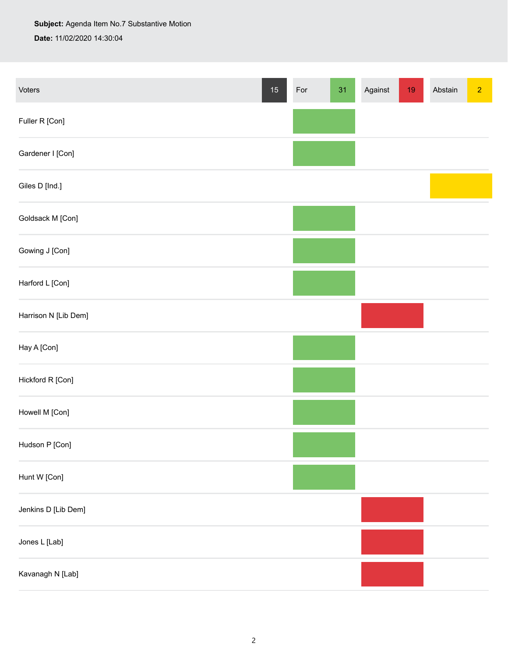## **Subject:** Agenda Item No.7 Substantive Motion **Date:** 11/02/2020 14:30:04

| Voters               | $15\,$ | For | 31 | Against | $19$ | Abstain | $\overline{2}$ |
|----------------------|--------|-----|----|---------|------|---------|----------------|
| Fuller R [Con]       |        |     |    |         |      |         |                |
| Gardener I [Con]     |        |     |    |         |      |         |                |
| Giles D [Ind.]       |        |     |    |         |      |         |                |
| Goldsack M [Con]     |        |     |    |         |      |         |                |
| Gowing J [Con]       |        |     |    |         |      |         |                |
| Harford L [Con]      |        |     |    |         |      |         |                |
| Harrison N [Lib Dem] |        |     |    |         |      |         |                |
| Hay A [Con]          |        |     |    |         |      |         |                |
| Hickford R [Con]     |        |     |    |         |      |         |                |
| Howell M [Con]       |        |     |    |         |      |         |                |
| Hudson P [Con]       |        |     |    |         |      |         |                |
| Hunt W [Con]         |        |     |    |         |      |         |                |
| Jenkins D [Lib Dem]  |        |     |    |         |      |         |                |
| Jones L [Lab]        |        |     |    |         |      |         |                |
| Kavanagh N [Lab]     |        |     |    |         |      |         |                |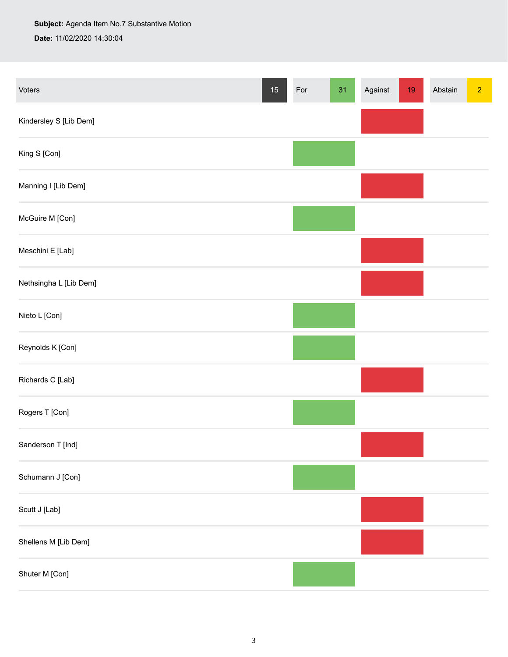## **Subject:** Agenda Item No.7 Substantive Motion **Date:** 11/02/2020 14:30:04

Voters 15 For 31 Against 19 Abstain 2 Against 19 Abstain 2 Against 19 Abstain 2 Against 19 Abstain 2 Against 19 Abstain 2 Against 19 Abstain 2 Against 19 Abstain 2 Against 19 Abstain 2 Against 19 Abstain 2 Against 19 Absta Kindersley S [Lib Dem] King S [Con] Manning I [Lib Dem] McGuire M [Con] Meschini E [Lab] Nethsingha L [Lib Dem] Nieto L [Con] Reynolds K [Con] Richards C [Lab] Rogers T [Con] Sanderson T [Ind] Schumann J [Con] Scutt J [Lab] Shellens M [Lib Dem] Shuter M [Con]